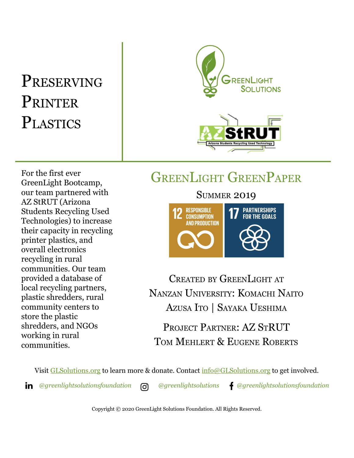# PRESERVING **PRINTER PLASTICS**



# GREENLIGHT GREENPAPER

For the first ever GreenLight Bootcamp, our team partnered with AZ StRUT (Arizona Students Recycling Used Technologies) to increase their capacity in recycling printer plastics, and overall electronics recycling in rural communities. Our team provided a database of local recycling partners, plastic shredders, rural community centers to store the plastic shredders, and NGOs working in rural communities.



CREATED BY GREENLIGHT AT NANZAN UNIVERSITY: KOMACHI NAITO AZUSA ITO | SAYAKA UESHIMA

PROJECT PARTNER: AZ STRUT TOM MEHLERT & EUGENE ROBERTS

Visit [GLSolutions.org](https://www.glsolutions.org/) to learn more & donate. Contact  $\frac{info@GLSolutions.org}{info@GLSolutions.org}$  to get involved.

*[@greenlightsolutionsfoundation](https://www.linkedin.com/company/10571635) [@greenlightsolutions](https://www.instagram.com/greenlightsolutions/) [@greenlightsolutionsfoundation](https://www.facebook.com/GreenLightSolutionsFoundation/)*

Copyright © 2020 GreenLight Solutions Foundation. All Rights Reserved.